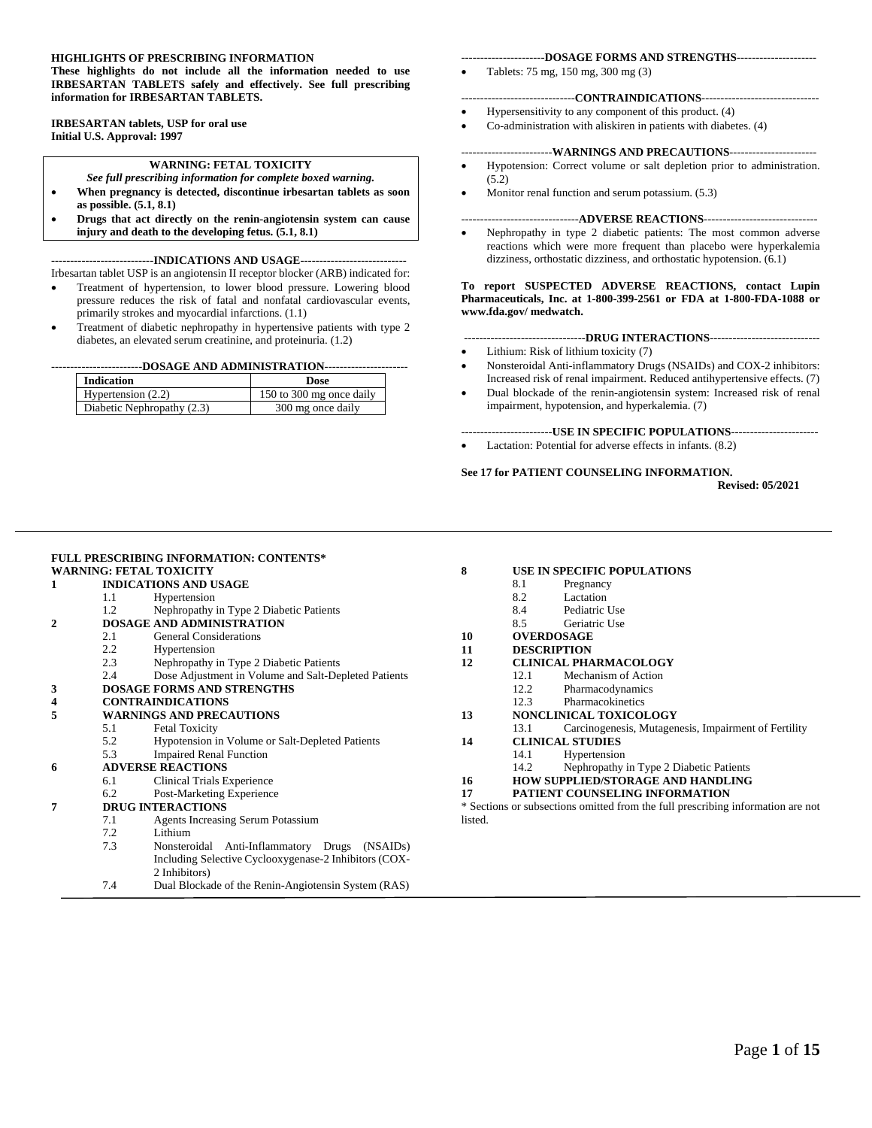#### **HIGHLIGHTS OF PRESCRIBING INFORMATION**

**These highlights do not include all the information needed to use IRBESARTAN TABLETS safely and effectively. See full prescribing information for IRBESARTAN TABLETS.**

**IRBESARTAN tablets, USP for oral use Initial U.S. Approval: 1997**

#### **WARNING: FETAL TOXICITY**

- *See full prescribing information for complete boxed warning.*
- **When pregnancy is detected, discontinue irbesartan tablets as soon as possible. (5.1, 8.1)**
- **Drugs that act directly on the renin-angiotensin system can cause injury and death to the developing fetus. (5.1, 8.1)**

---------------------------**INDICATIONS AND USAGE**----------------------------

- Irbesartan tablet USP is an angiotensin II receptor blocker (ARB) indicated for: • Treatment of hypertension, to lower blood pressure. Lowering blood pressure reduces the risk of fatal and nonfatal cardiovascular events, primarily strokes and myocardial infarctions. (1.1)
- Treatment of diabetic nephropathy in hypertensive patients with type 2 diabetes, an elevated serum creatinine, and proteinuria. (1.2)

#### ------------------------**DOSAGE AND ADMINISTRATION**----------------------

| <b>Indication</b>          | Dose                     |
|----------------------------|--------------------------|
| Hypertension (2.2)         | 150 to 300 mg once daily |
| Diabetic Nephropathy (2.3) | 300 mg once daily        |

#### ----------------------**DOSAGE FORMS AND STRENGTHS**---------------------

• Tablets: 75 mg, 150 mg, 300 mg (3)

#### ------------------------------**CONTRAINDICATIONS**-------------------------------

- Hypersensitivity to any component of this product. (4)
- Co-administration with aliskiren in patients with diabetes. (4)

#### ------------------------**WARNINGS AND PRECAUTIONS**-----------------------

- Hypotension: Correct volume or salt depletion prior to administration. (5.2)
- Monitor renal function and serum potassium. (5.3)

#### -------------------------------**ADVERSE REACTIONS**------------------------------

• Nephropathy in type 2 diabetic patients: The most common adverse reactions which were more frequent than placebo were hyperkalemia dizziness, orthostatic dizziness, and orthostatic hypotension. (6.1)

#### **To report SUSPECTED ADVERSE REACTIONS, contact Lupin Pharmaceuticals, Inc. at 1-800-399-2561 or FDA at 1-800-FDA-1088 or www.fda.gov/ medwatch.**

#### --------------------------------**DRUG INTERACTIONS**-----------------------------

- Lithium: Risk of lithium toxicity (7)
- Nonsteroidal Anti-inflammatory Drugs (NSAIDs) and COX-2 inhibitors: Increased risk of renal impairment. Reduced antihypertensive effects. (7)
- Dual blockade of the renin-angiotensin system: Increased risk of renal impairment, hypotension, and hyperkalemia. (7)

#### ------------------------**USE IN SPECIFIC POPULATIONS**-----------------------

Lactation: Potential for adverse effects in infants. (8.2)

#### **See 17 for PATIENT COUNSELING INFORMATION.**

**Revised: 05/2021**

#### **FULL PRESCRIBING INFORMATION: CONTENTS\* WARNING: FETAL TOXICITY 1 INDICATIONS AND USAGE**

- 
- 1.1 Hypertension<br>1.2 Nephropathy i Nephropathy in Type 2 Diabetic Patients
- 
- **2 DOSAGE AND ADMINISTRATION** General Considerations
	- - 2.2 Hypertension<br>2.3 Nephropathy 2.3 Nephropathy in Type 2 Diabetic Patients
	- 2.4 Dose Adjustment in Volume and Salt-Depleted Patients
- **3 DOSAGE FORMS AND STRENGTHS**

# **4 CONTRAINDICATIONS**

- **5 WARNINGS AND PRECAUTIONS**
	- 5.1 Fetal Toxicity
	- 5.2 Hypotension in Volume or Salt-Depleted Patients
	- 5.3 Impaired Renal Function

#### **6 ADVERSE REACTIONS**

- 6.1 Clinical Trials Experience
- 6.2 Post-Marketing Experience
- **7 DRUG INTERACTIONS**<br>7.1 **Agents Increasin** 
	- 7.1 Agents Increasing Serum Potassium<br>
	7.2 Lithium
	- 7.2 Lithium
	- 7.3 Nonsteroidal Anti-Inflammatory Drugs (NSAIDs) Including Selective Cyclooxygenase-2 Inhibitors (COX-2 Inhibitors)
	- 7.4 Dual Blockade of the Renin-Angiotensin System (RAS)

#### **8 USE IN SPECIFIC POPULATIONS**

- 8.1 Pregnancy
- 
- 8.2 Lactation<br>8.4 Pediatric Pediatric Use
- 8.5 Geriatric Use
- **10 OVERDOSAGE**

# **11 DESCRIPTION**

- **12 CLINICAL PHARMACOLOGY**
	- 12.1 Mechanism of Action<br>12.2 Pharmacodynamics
	- Pharmacodynamics
	- 12.3 Pharmacokinetics
- **13 NONCLINICAL TOXICOLOGY**
	- 13.1 Carcinogenesis, Mutagenesis, Impairment of Fertility

#### **14 CLINICAL STUDIES**

- 14.1 Hypertension<br>14.2 Nephropathy
- Nephropathy in Type 2 Diabetic Patients
- 
- **16 HOW SUPPLIED/STORAGE AND HANDLING 17 PATIENT COUNSELING INFORMATION**

\* Sections or subsections omitted from the full prescribing information are not listed.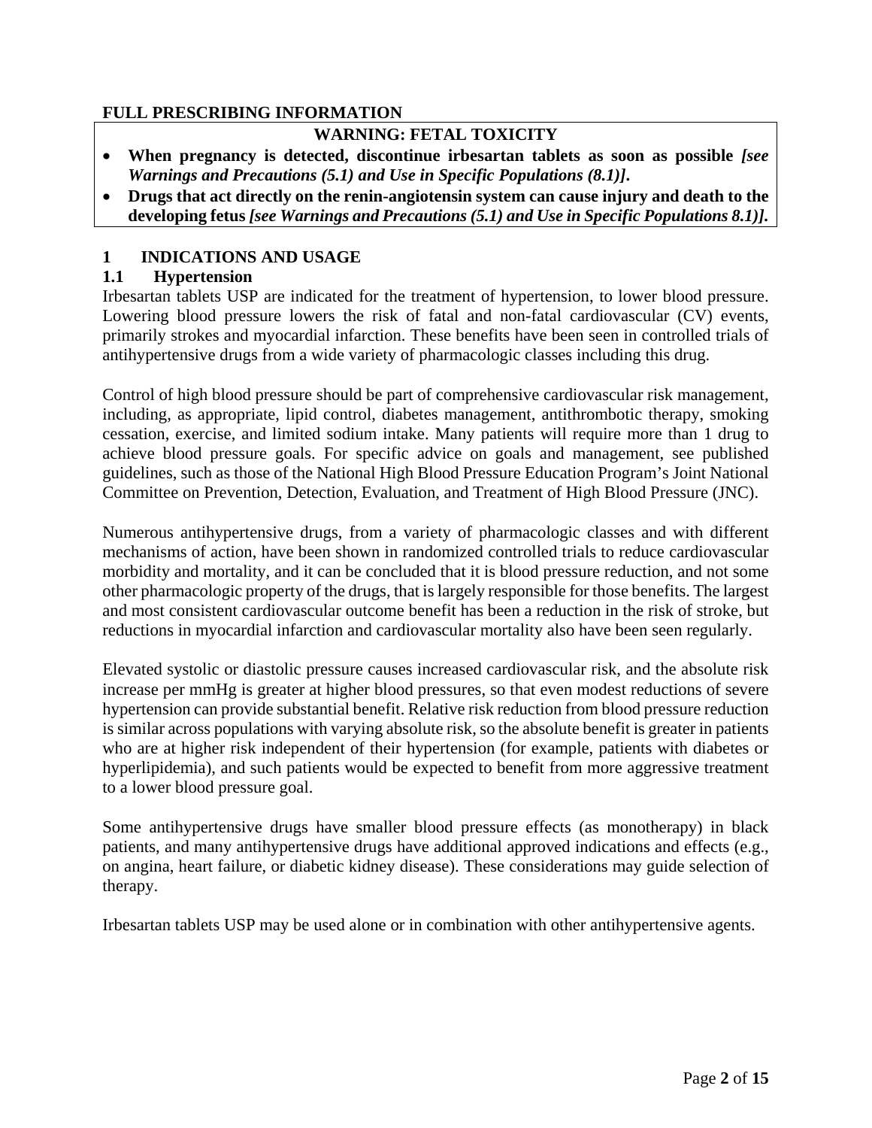#### **FULL PRESCRIBING INFORMATION**

### **WARNING: FETAL TOXICITY**

- **When pregnancy is detected, discontinue irbesartan tablets as soon as possible** *[see Warnings and Precautions (5.1) and Use in Specific Populations (8.1)]***.**
- **Drugs that act directly on the renin-angiotensin system can cause injury and death to the developing fetus** *[see Warnings and Precautions (5.1) and Use in Specific Populations 8.1)].*

#### **1 INDICATIONS AND USAGE**

#### **1.1 Hypertension**

Irbesartan tablets USP are indicated for the treatment of hypertension, to lower blood pressure. Lowering blood pressure lowers the risk of fatal and non-fatal cardiovascular (CV) events, primarily strokes and myocardial infarction. These benefits have been seen in controlled trials of antihypertensive drugs from a wide variety of pharmacologic classes including this drug.

Control of high blood pressure should be part of comprehensive cardiovascular risk management, including, as appropriate, lipid control, diabetes management, antithrombotic therapy, smoking cessation, exercise, and limited sodium intake. Many patients will require more than 1 drug to achieve blood pressure goals. For specific advice on goals and management, see published guidelines, such as those of the National High Blood Pressure Education Program's Joint National Committee on Prevention, Detection, Evaluation, and Treatment of High Blood Pressure (JNC).

Numerous antihypertensive drugs, from a variety of pharmacologic classes and with different mechanisms of action, have been shown in randomized controlled trials to reduce cardiovascular morbidity and mortality, and it can be concluded that it is blood pressure reduction, and not some other pharmacologic property of the drugs, that is largely responsible for those benefits. The largest and most consistent cardiovascular outcome benefit has been a reduction in the risk of stroke, but reductions in myocardial infarction and cardiovascular mortality also have been seen regularly.

Elevated systolic or diastolic pressure causes increased cardiovascular risk, and the absolute risk increase per mmHg is greater at higher blood pressures, so that even modest reductions of severe hypertension can provide substantial benefit. Relative risk reduction from blood pressure reduction is similar across populations with varying absolute risk, so the absolute benefit is greater in patients who are at higher risk independent of their hypertension (for example, patients with diabetes or hyperlipidemia), and such patients would be expected to benefit from more aggressive treatment to a lower blood pressure goal.

Some antihypertensive drugs have smaller blood pressure effects (as monotherapy) in black patients, and many antihypertensive drugs have additional approved indications and effects (e.g., on angina, heart failure, or diabetic kidney disease). These considerations may guide selection of therapy.

Irbesartan tablets USP may be used alone or in combination with other antihypertensive agents.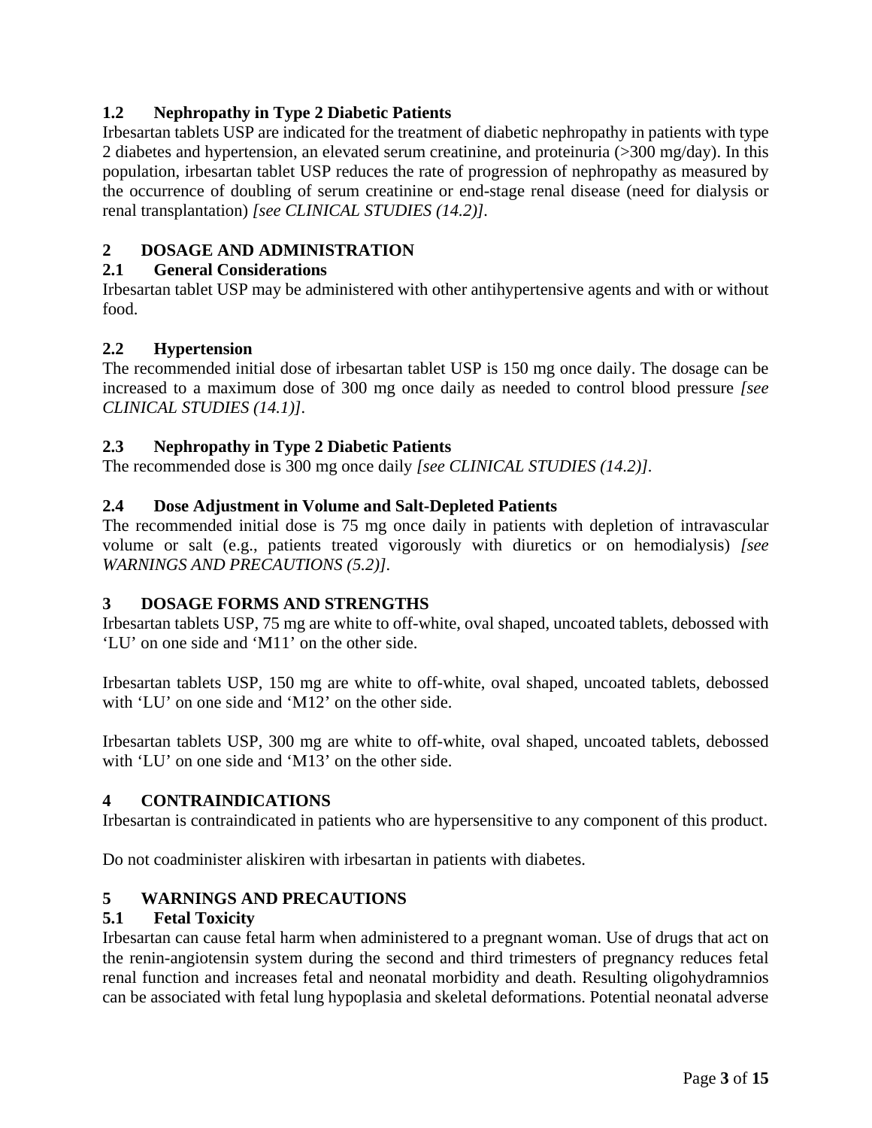### **1.2 Nephropathy in Type 2 Diabetic Patients**

Irbesartan tablets USP are indicated for the treatment of diabetic nephropathy in patients with type 2 diabetes and hypertension, an elevated serum creatinine, and proteinuria (>300 mg/day). In this population, irbesartan tablet USP reduces the rate of progression of nephropathy as measured by the occurrence of doubling of serum creatinine or end-stage renal disease (need for dialysis or renal transplantation) *[see CLINICAL STUDIES (14.2)].*

### **2 DOSAGE AND ADMINISTRATION**

#### **2.1 General Considerations**

Irbesartan tablet USP may be administered with other antihypertensive agents and with or without food.

#### **2.2 Hypertension**

The recommended initial dose of irbesartan tablet USP is 150 mg once daily. The dosage can be increased to a maximum dose of 300 mg once daily as needed to control blood pressure *[see CLINICAL STUDIES (14.1)].*

#### **2.3 Nephropathy in Type 2 Diabetic Patients**

The recommended dose is 300 mg once daily *[see CLINICAL STUDIES (14.2)].*

#### **2.4 Dose Adjustment in Volume and Salt-Depleted Patients**

The recommended initial dose is 75 mg once daily in patients with depletion of intravascular volume or salt (e.g., patients treated vigorously with diuretics or on hemodialysis) *[see WARNINGS AND PRECAUTIONS (5.2)].*

#### **3 DOSAGE FORMS AND STRENGTHS**

Irbesartan tablets USP, 75 mg are white to off-white, oval shaped, uncoated tablets, debossed with 'LU' on one side and 'M11' on the other side.

Irbesartan tablets USP, 150 mg are white to off-white, oval shaped, uncoated tablets, debossed with 'LU' on one side and 'M12' on the other side.

Irbesartan tablets USP, 300 mg are white to off-white, oval shaped, uncoated tablets, debossed with 'LU' on one side and 'M13' on the other side.

#### **4 CONTRAINDICATIONS**

Irbesartan is contraindicated in patients who are hypersensitive to any component of this product.

Do not coadminister aliskiren with irbesartan in patients with diabetes.

# **5 WARNINGS AND PRECAUTIONS**

#### **5.1 Fetal Toxicity**

Irbesartan can cause fetal harm when administered to a pregnant woman. Use of drugs that act on the renin-angiotensin system during the second and third trimesters of pregnancy reduces fetal renal function and increases fetal and neonatal morbidity and death. Resulting oligohydramnios can be associated with fetal lung hypoplasia and skeletal deformations. Potential neonatal adverse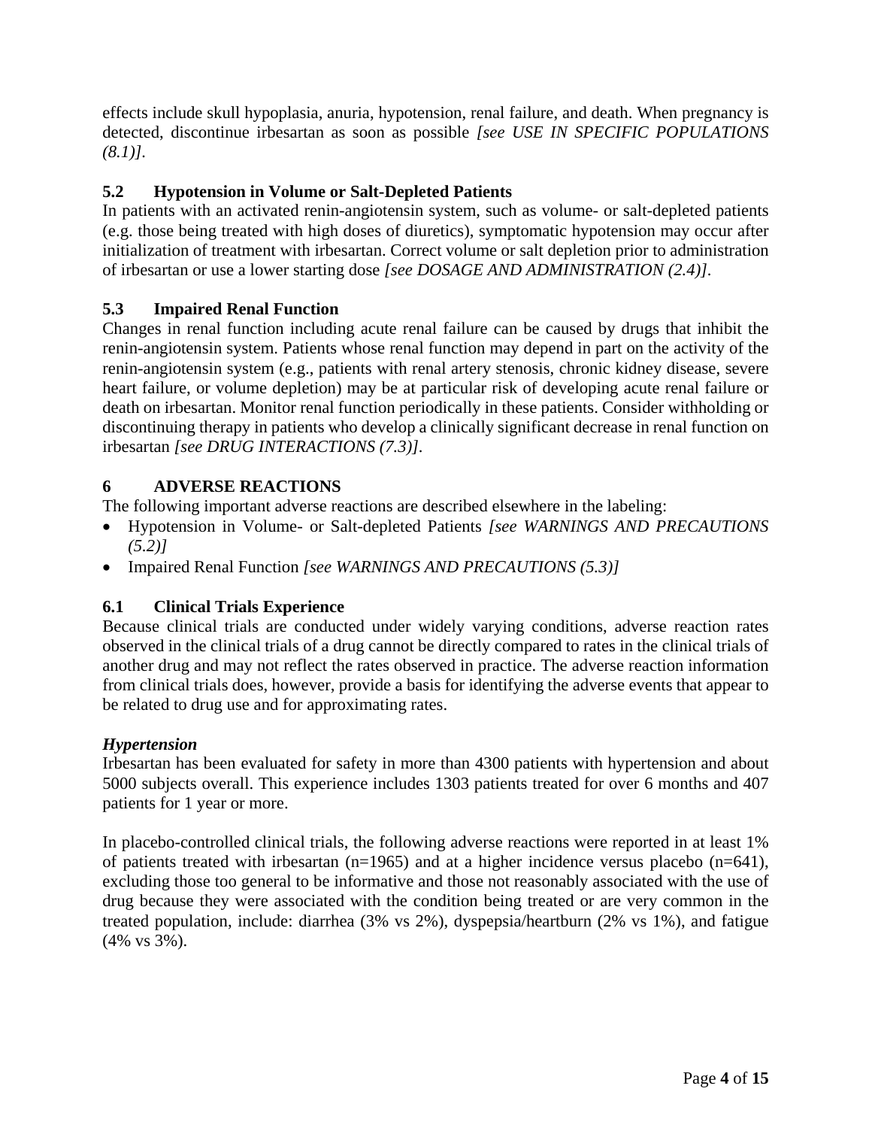effects include skull hypoplasia, anuria, hypotension, renal failure, and death. When pregnancy is detected, discontinue irbesartan as soon as possible *[see USE IN SPECIFIC POPULATIONS (8.1)].*

# **5.2 Hypotension in Volume or Salt-Depleted Patients**

In patients with an activated renin-angiotensin system, such as volume- or salt-depleted patients (e.g. those being treated with high doses of diuretics), symptomatic hypotension may occur after initialization of treatment with irbesartan. Correct volume or salt depletion prior to administration of irbesartan or use a lower starting dose *[see DOSAGE AND ADMINISTRATION (2.4)].*

## **5.3 Impaired Renal Function**

Changes in renal function including acute renal failure can be caused by drugs that inhibit the renin-angiotensin system. Patients whose renal function may depend in part on the activity of the renin-angiotensin system (e.g., patients with renal artery stenosis, chronic kidney disease, severe heart failure, or volume depletion) may be at particular risk of developing acute renal failure or death on irbesartan. Monitor renal function periodically in these patients. Consider withholding or discontinuing therapy in patients who develop a clinically significant decrease in renal function on irbesartan *[see DRUG INTERACTIONS (7.3)].*

## **6 ADVERSE REACTIONS**

The following important adverse reactions are described elsewhere in the labeling:

- Hypotension in Volume- or Salt-depleted Patients *[see WARNINGS AND PRECAUTIONS (5.2)]*
- Impaired Renal Function *[see WARNINGS AND PRECAUTIONS (5.3)]*

## **6.1 Clinical Trials Experience**

Because clinical trials are conducted under widely varying conditions, adverse reaction rates observed in the clinical trials of a drug cannot be directly compared to rates in the clinical trials of another drug and may not reflect the rates observed in practice. The adverse reaction information from clinical trials does, however, provide a basis for identifying the adverse events that appear to be related to drug use and for approximating rates.

#### *Hypertension*

Irbesartan has been evaluated for safety in more than 4300 patients with hypertension and about 5000 subjects overall. This experience includes 1303 patients treated for over 6 months and 407 patients for 1 year or more.

In placebo-controlled clinical trials, the following adverse reactions were reported in at least 1% of patients treated with irbesartan (n=1965) and at a higher incidence versus placebo (n=641), excluding those too general to be informative and those not reasonably associated with the use of drug because they were associated with the condition being treated or are very common in the treated population, include: diarrhea (3% vs 2%), dyspepsia/heartburn (2% vs 1%), and fatigue (4% vs 3%).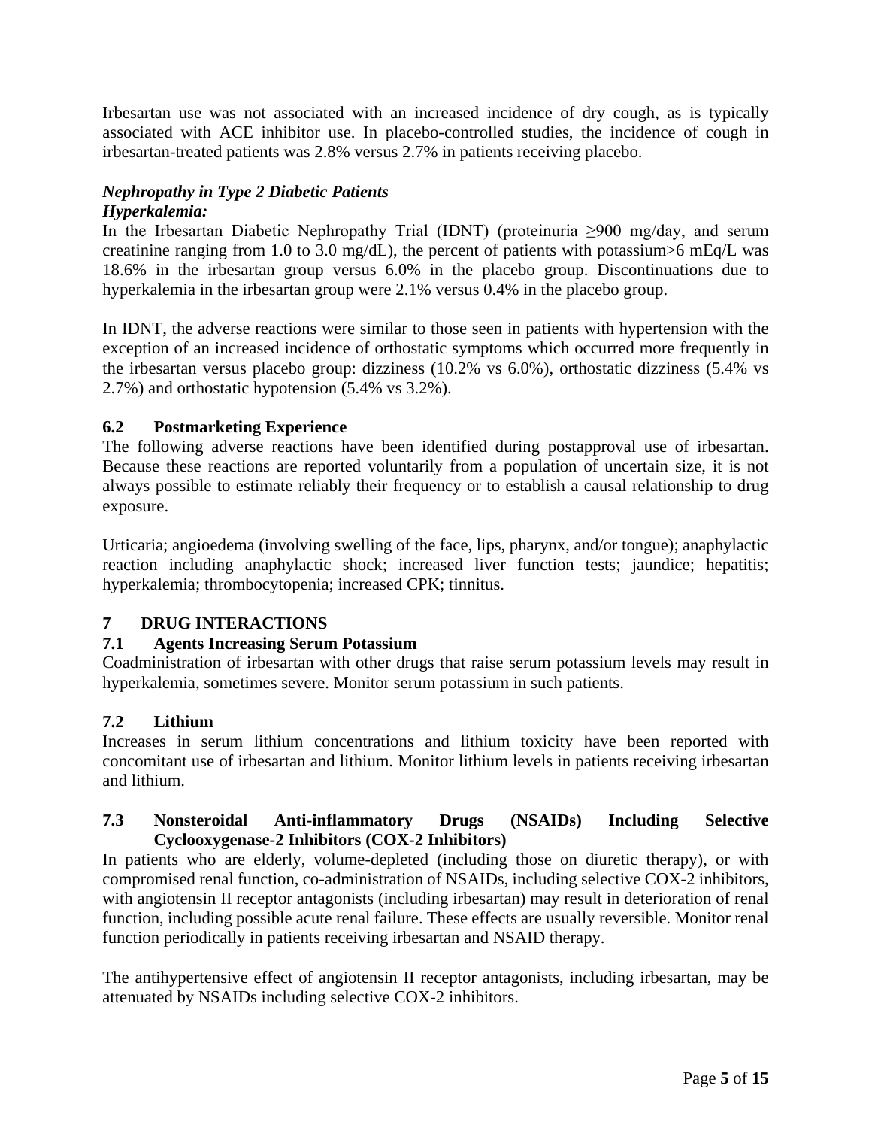Irbesartan use was not associated with an increased incidence of dry cough, as is typically associated with ACE inhibitor use. In placebo-controlled studies, the incidence of cough in irbesartan-treated patients was 2.8% versus 2.7% in patients receiving placebo.

#### *Nephropathy in Type 2 Diabetic Patients Hyperkalemia:*

In the Irbesartan Diabetic Nephropathy Trial (IDNT) (proteinuria  $\geq 900$  mg/day, and serum creatinine ranging from 1.0 to 3.0 mg/dL), the percent of patients with potassium  $>6 \text{ mEq/L}$  was 18.6% in the irbesartan group versus 6.0% in the placebo group. Discontinuations due to hyperkalemia in the irbesartan group were 2.1% versus 0.4% in the placebo group.

In IDNT, the adverse reactions were similar to those seen in patients with hypertension with the exception of an increased incidence of orthostatic symptoms which occurred more frequently in the irbesartan versus placebo group: dizziness (10.2% vs 6.0%), orthostatic dizziness (5.4% vs 2.7%) and orthostatic hypotension (5.4% vs 3.2%).

### **6.2 Postmarketing Experience**

The following adverse reactions have been identified during postapproval use of irbesartan. Because these reactions are reported voluntarily from a population of uncertain size, it is not always possible to estimate reliably their frequency or to establish a causal relationship to drug exposure.

Urticaria; angioedema (involving swelling of the face, lips, pharynx, and/or tongue); anaphylactic reaction including anaphylactic shock; increased liver function tests; jaundice; hepatitis; hyperkalemia; thrombocytopenia; increased CPK; tinnitus.

## **7 DRUG INTERACTIONS**

#### **7.1 Agents Increasing Serum Potassium**

Coadministration of irbesartan with other drugs that raise serum potassium levels may result in hyperkalemia, sometimes severe. Monitor serum potassium in such patients.

#### **7.2 Lithium**

Increases in serum lithium concentrations and lithium toxicity have been reported with concomitant use of irbesartan and lithium. Monitor lithium levels in patients receiving irbesartan and lithium.

#### **7.3 Nonsteroidal Anti-inflammatory Drugs (NSAIDs) Including Selective Cyclooxygenase-2 Inhibitors (COX-2 Inhibitors)**

In patients who are elderly, volume-depleted (including those on diuretic therapy), or with compromised renal function, co-administration of NSAIDs, including selective COX-2 inhibitors, with angiotensin II receptor antagonists (including irbesartan) may result in deterioration of renal function, including possible acute renal failure. These effects are usually reversible. Monitor renal function periodically in patients receiving irbesartan and NSAID therapy.

The antihypertensive effect of angiotensin II receptor antagonists, including irbesartan, may be attenuated by NSAIDs including selective COX-2 inhibitors.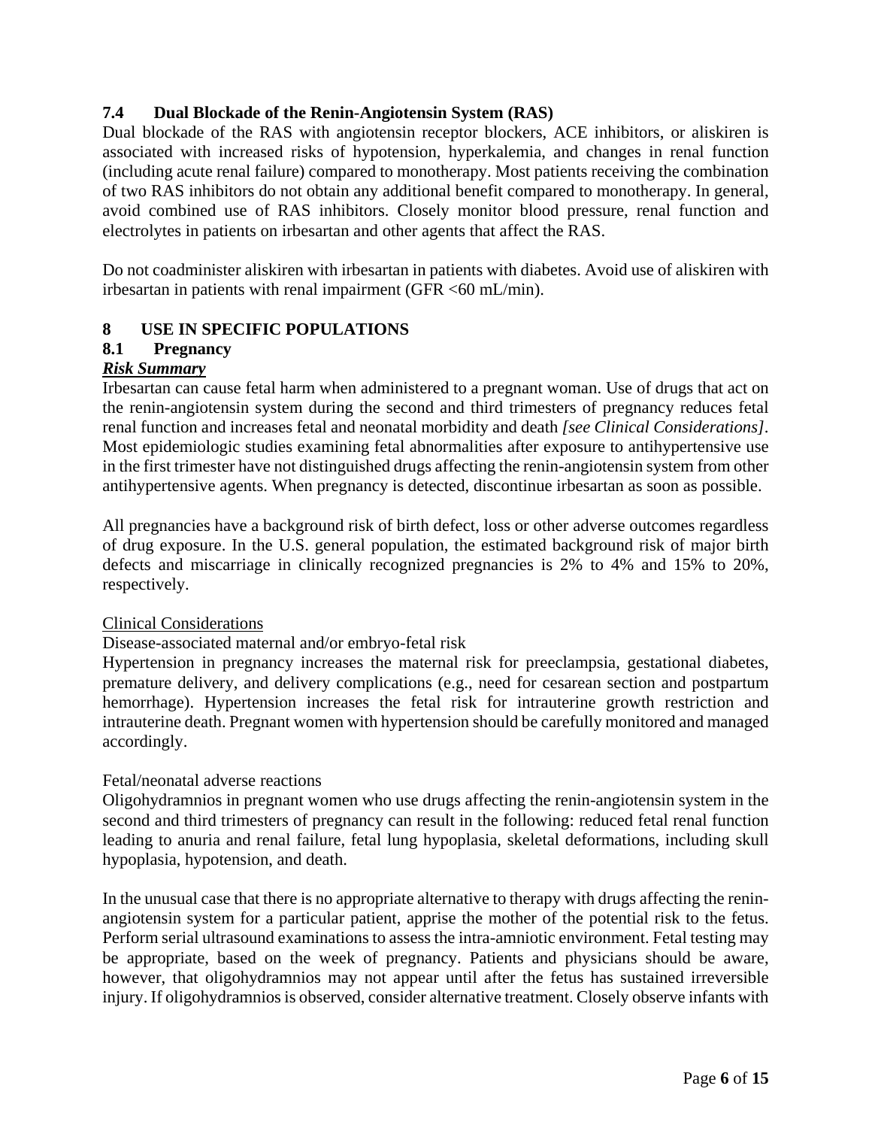#### **7.4 Dual Blockade of the Renin-Angiotensin System (RAS)**

Dual blockade of the RAS with angiotensin receptor blockers, ACE inhibitors, or aliskiren is associated with increased risks of hypotension, hyperkalemia, and changes in renal function (including acute renal failure) compared to monotherapy. Most patients receiving the combination of two RAS inhibitors do not obtain any additional benefit compared to monotherapy. In general, avoid combined use of RAS inhibitors. Closely monitor blood pressure, renal function and electrolytes in patients on irbesartan and other agents that affect the RAS.

Do not coadminister aliskiren with irbesartan in patients with diabetes. Avoid use of aliskiren with irbesartan in patients with renal impairment (GFR <60 mL/min).

#### **8 USE IN SPECIFIC POPULATIONS**

### **8.1 Pregnancy**

### *Risk Summary*

Irbesartan can cause fetal harm when administered to a pregnant woman. Use of drugs that act on the renin-angiotensin system during the second and third trimesters of pregnancy reduces fetal renal function and increases fetal and neonatal morbidity and death *[see Clinical Considerations]*. Most epidemiologic studies examining fetal abnormalities after exposure to antihypertensive use in the first trimester have not distinguished drugs affecting the renin-angiotensin system from other antihypertensive agents. When pregnancy is detected, discontinue irbesartan as soon as possible.

All pregnancies have a background risk of birth defect, loss or other adverse outcomes regardless of drug exposure. In the U.S. general population, the estimated background risk of major birth defects and miscarriage in clinically recognized pregnancies is 2% to 4% and 15% to 20%, respectively.

#### Clinical Considerations

#### Disease-associated maternal and/or embryo-fetal risk

Hypertension in pregnancy increases the maternal risk for preeclampsia, gestational diabetes, premature delivery, and delivery complications (e.g., need for cesarean section and postpartum hemorrhage). Hypertension increases the fetal risk for intrauterine growth restriction and intrauterine death. Pregnant women with hypertension should be carefully monitored and managed accordingly.

#### Fetal/neonatal adverse reactions

Oligohydramnios in pregnant women who use drugs affecting the renin-angiotensin system in the second and third trimesters of pregnancy can result in the following: reduced fetal renal function leading to anuria and renal failure, fetal lung hypoplasia, skeletal deformations, including skull hypoplasia, hypotension, and death.

In the unusual case that there is no appropriate alternative to therapy with drugs affecting the reninangiotensin system for a particular patient, apprise the mother of the potential risk to the fetus. Perform serial ultrasound examinations to assess the intra-amniotic environment. Fetal testing may be appropriate, based on the week of pregnancy. Patients and physicians should be aware, however, that oligohydramnios may not appear until after the fetus has sustained irreversible injury. If oligohydramnios is observed, consider alternative treatment. Closely observe infants with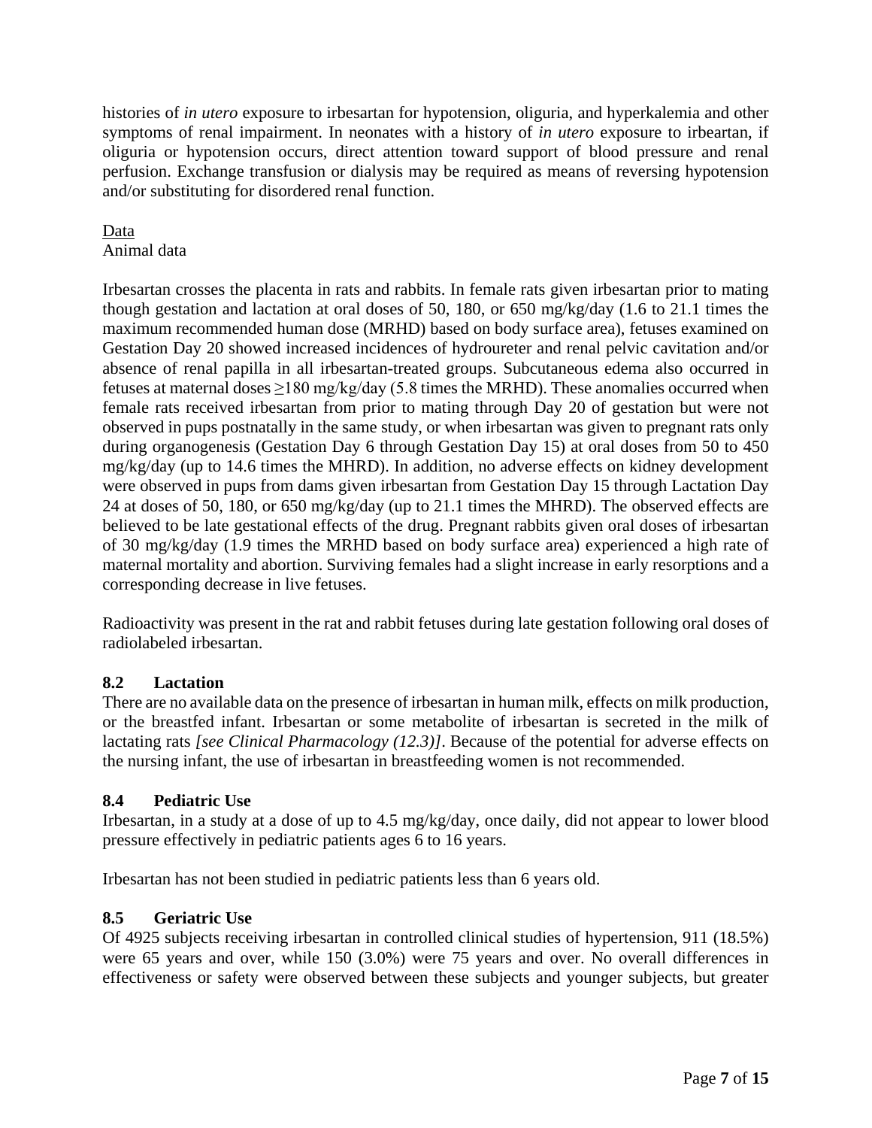histories of *in utero* exposure to irbesartan for hypotension, oliguria, and hyperkalemia and other symptoms of renal impairment. In neonates with a history of *in utero* exposure to irbeartan, if oliguria or hypotension occurs, direct attention toward support of blood pressure and renal perfusion. Exchange transfusion or dialysis may be required as means of reversing hypotension and/or substituting for disordered renal function.

Data Animal data

Irbesartan crosses the placenta in rats and rabbits. In female rats given irbesartan prior to mating though gestation and lactation at oral doses of 50, 180, or 650 mg/kg/day (1.6 to 21.1 times the maximum recommended human dose (MRHD) based on body surface area), fetuses examined on Gestation Day 20 showed increased incidences of hydroureter and renal pelvic cavitation and/or absence of renal papilla in all irbesartan-treated groups. Subcutaneous edema also occurred in fetuses at maternal doses  $\geq$ 180 mg/kg/day (5.8 times the MRHD). These anomalies occurred when female rats received irbesartan from prior to mating through Day 20 of gestation but were not observed in pups postnatally in the same study, or when irbesartan was given to pregnant rats only during organogenesis (Gestation Day 6 through Gestation Day 15) at oral doses from 50 to 450 mg/kg/day (up to 14.6 times the MHRD). In addition, no adverse effects on kidney development were observed in pups from dams given irbesartan from Gestation Day 15 through Lactation Day 24 at doses of 50, 180, or 650 mg/kg/day (up to 21.1 times the MHRD). The observed effects are believed to be late gestational effects of the drug. Pregnant rabbits given oral doses of irbesartan of 30 mg/kg/day (1.9 times the MRHD based on body surface area) experienced a high rate of maternal mortality and abortion. Surviving females had a slight increase in early resorptions and a corresponding decrease in live fetuses.

Radioactivity was present in the rat and rabbit fetuses during late gestation following oral doses of radiolabeled irbesartan.

#### **8.2 Lactation**

There are no available data on the presence of irbesartan in human milk, effects on milk production, or the breastfed infant. Irbesartan or some metabolite of irbesartan is secreted in the milk of lactating rats *[see Clinical Pharmacology (12.3)]*. Because of the potential for adverse effects on the nursing infant, the use of irbesartan in breastfeeding women is not recommended.

#### **8.4 Pediatric Use**

Irbesartan, in a study at a dose of up to 4.5 mg/kg/day, once daily, did not appear to lower blood pressure effectively in pediatric patients ages 6 to 16 years.

Irbesartan has not been studied in pediatric patients less than 6 years old.

#### **8.5 Geriatric Use**

Of 4925 subjects receiving irbesartan in controlled clinical studies of hypertension, 911 (18.5%) were 65 years and over, while 150 (3.0%) were 75 years and over. No overall differences in effectiveness or safety were observed between these subjects and younger subjects, but greater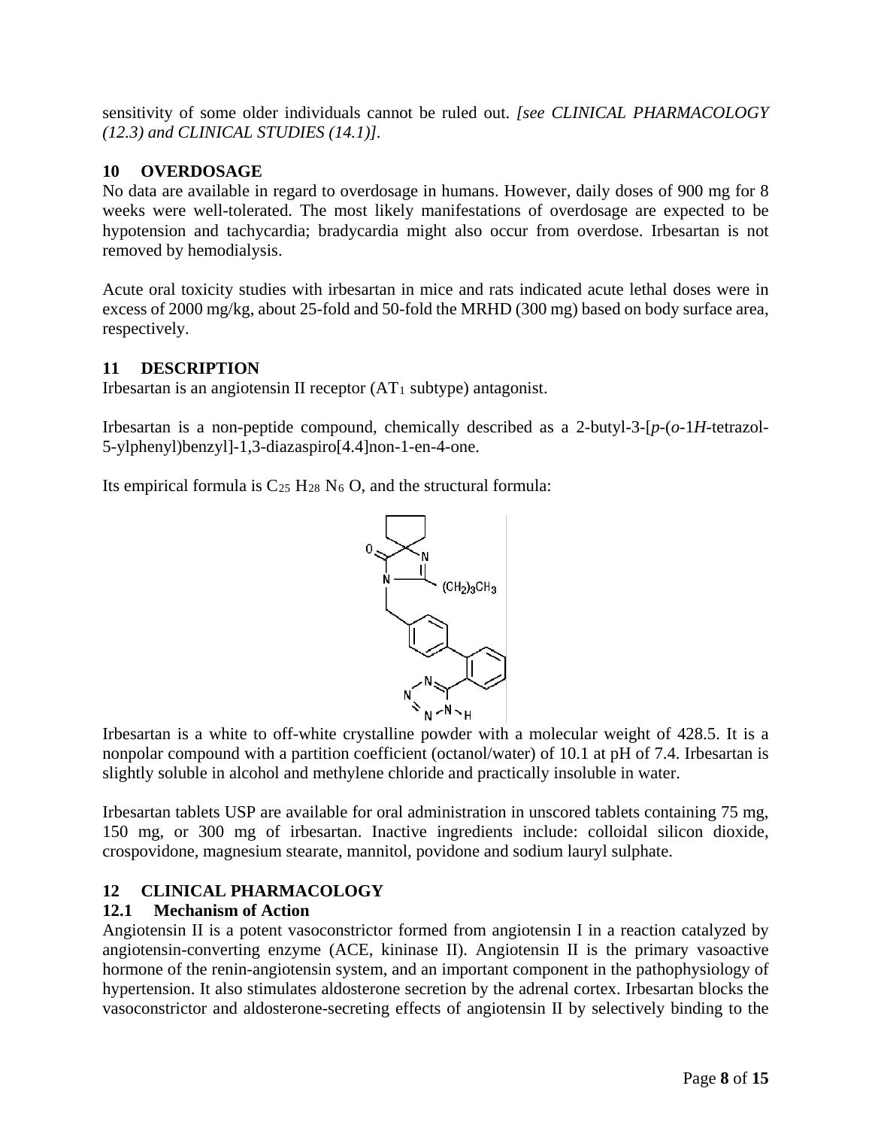sensitivity of some older individuals cannot be ruled out. *[see CLINICAL PHARMACOLOGY (12.3) and CLINICAL STUDIES (14.1)].*

#### **10 OVERDOSAGE**

No data are available in regard to overdosage in humans. However, daily doses of 900 mg for 8 weeks were well-tolerated. The most likely manifestations of overdosage are expected to be hypotension and tachycardia; bradycardia might also occur from overdose. Irbesartan is not removed by hemodialysis.

Acute oral toxicity studies with irbesartan in mice and rats indicated acute lethal doses were in excess of 2000 mg/kg, about 25-fold and 50-fold the MRHD (300 mg) based on body surface area, respectively.

### **11 DESCRIPTION**

Irbesartan is an angiotensin II receptor  $(AT<sub>1</sub>$  subtype) antagonist.

Irbesartan is a non-peptide compound, chemically described as a 2-butyl-3-[*p*-(*o*-1*H*-tetrazol-5-ylphenyl)benzyl]-1,3-diazaspiro[4.4]non-1-en-4-one.

Its empirical formula is  $C_{25}$  H<sub>28</sub> N<sub>6</sub> O, and the structural formula:



Irbesartan is a white to off-white crystalline powder with a molecular weight of 428.5. It is a nonpolar compound with a partition coefficient (octanol/water) of 10.1 at pH of 7.4. Irbesartan is slightly soluble in alcohol and methylene chloride and practically insoluble in water.

Irbesartan tablets USP are available for oral administration in unscored tablets containing 75 mg, 150 mg, or 300 mg of irbesartan. Inactive ingredients include: colloidal silicon dioxide, crospovidone, magnesium stearate, mannitol, povidone and sodium lauryl sulphate.

#### **12 CLINICAL PHARMACOLOGY**

#### **12.1 Mechanism of Action**

Angiotensin II is a potent vasoconstrictor formed from angiotensin I in a reaction catalyzed by angiotensin-converting enzyme (ACE, kininase II). Angiotensin II is the primary vasoactive hormone of the renin-angiotensin system, and an important component in the pathophysiology of hypertension. It also stimulates aldosterone secretion by the adrenal cortex. Irbesartan blocks the vasoconstrictor and aldosterone-secreting effects of angiotensin II by selectively binding to the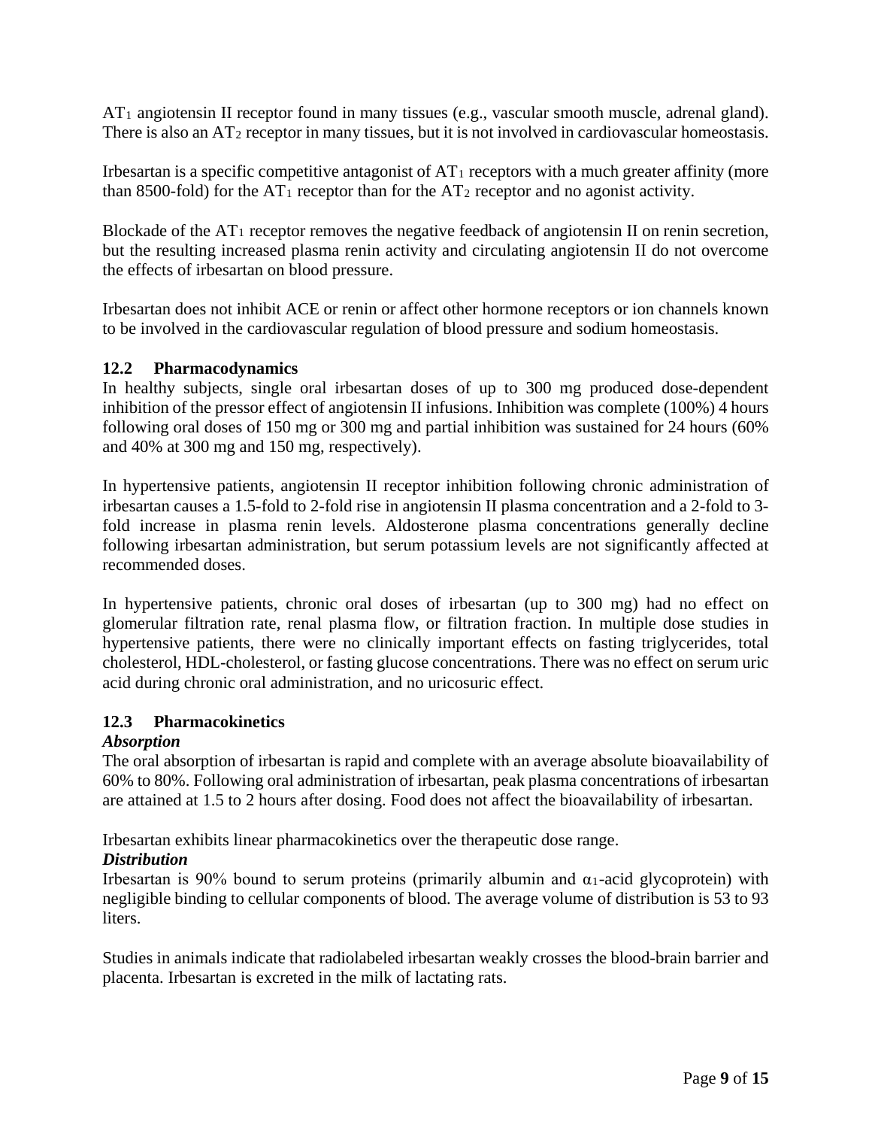AT<sub>1</sub> angiotensin II receptor found in many tissues (e.g., vascular smooth muscle, adrenal gland). There is also an  $AT_2$  receptor in many tissues, but it is not involved in cardiovascular homeostasis.

Irbesartan is a specific competitive antagonist of  $AT_1$  receptors with a much greater affinity (more than 8500-fold) for the  $AT_1$  receptor than for the  $AT_2$  receptor and no agonist activity.

Blockade of the  $AT_1$  receptor removes the negative feedback of angiotensin II on renin secretion, but the resulting increased plasma renin activity and circulating angiotensin II do not overcome the effects of irbesartan on blood pressure.

Irbesartan does not inhibit ACE or renin or affect other hormone receptors or ion channels known to be involved in the cardiovascular regulation of blood pressure and sodium homeostasis.

#### **12.2 Pharmacodynamics**

In healthy subjects, single oral irbesartan doses of up to 300 mg produced dose-dependent inhibition of the pressor effect of angiotensin II infusions. Inhibition was complete (100%) 4 hours following oral doses of 150 mg or 300 mg and partial inhibition was sustained for 24 hours (60% and 40% at 300 mg and 150 mg, respectively).

In hypertensive patients, angiotensin II receptor inhibition following chronic administration of irbesartan causes a 1.5-fold to 2-fold rise in angiotensin II plasma concentration and a 2-fold to 3 fold increase in plasma renin levels. Aldosterone plasma concentrations generally decline following irbesartan administration, but serum potassium levels are not significantly affected at recommended doses.

In hypertensive patients, chronic oral doses of irbesartan (up to 300 mg) had no effect on glomerular filtration rate, renal plasma flow, or filtration fraction. In multiple dose studies in hypertensive patients, there were no clinically important effects on fasting triglycerides, total cholesterol, HDL-cholesterol, or fasting glucose concentrations. There was no effect on serum uric acid during chronic oral administration, and no uricosuric effect.

#### **12.3 Pharmacokinetics**

#### *Absorption*

The oral absorption of irbesartan is rapid and complete with an average absolute bioavailability of 60% to 80%. Following oral administration of irbesartan, peak plasma concentrations of irbesartan are attained at 1.5 to 2 hours after dosing. Food does not affect the bioavailability of irbesartan.

Irbesartan exhibits linear pharmacokinetics over the therapeutic dose range.

#### *Distribution*

Irbesartan is 90% bound to serum proteins (primarily albumin and  $\alpha_1$ -acid glycoprotein) with negligible binding to cellular components of blood. The average volume of distribution is 53 to 93 liters.

Studies in animals indicate that radiolabeled irbesartan weakly crosses the blood-brain barrier and placenta. Irbesartan is excreted in the milk of lactating rats.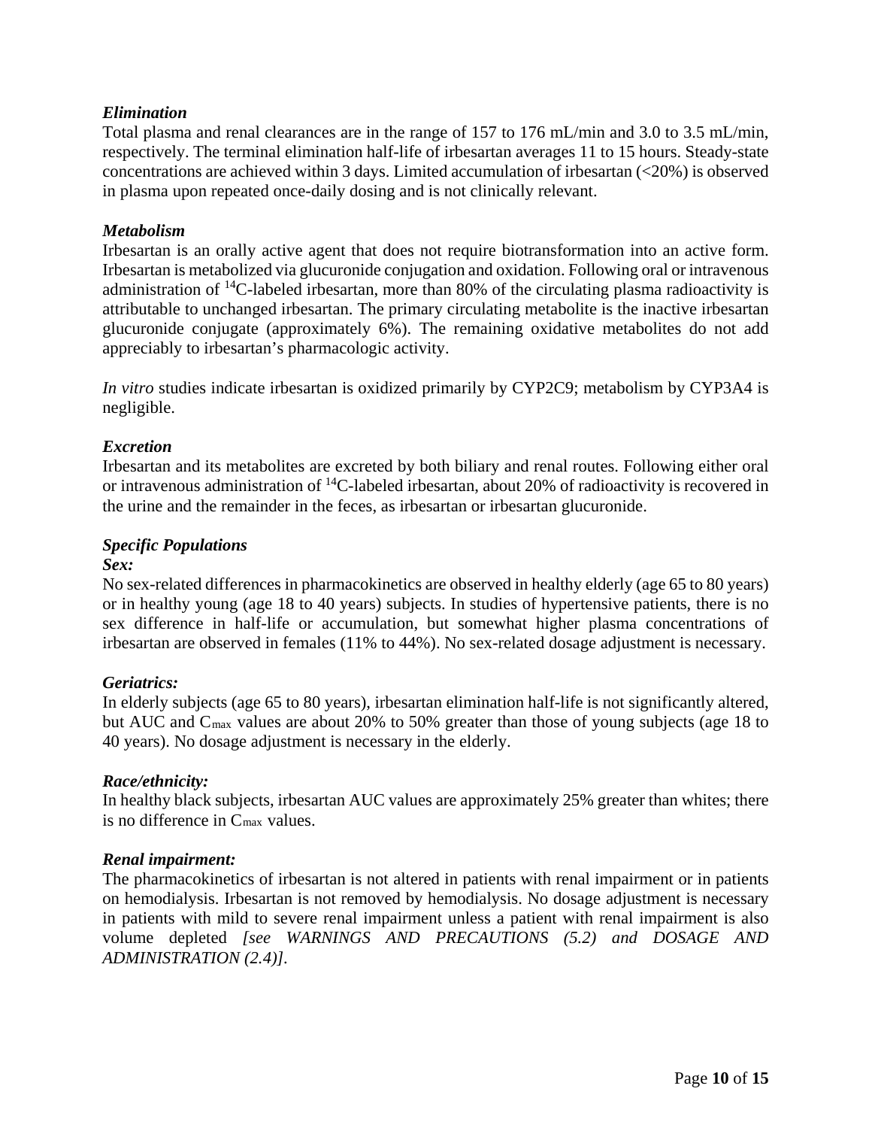#### *Elimination*

Total plasma and renal clearances are in the range of 157 to 176 mL/min and 3.0 to 3.5 mL/min, respectively. The terminal elimination half-life of irbesartan averages 11 to 15 hours. Steady-state concentrations are achieved within 3 days. Limited accumulation of irbesartan (<20%) is observed in plasma upon repeated once-daily dosing and is not clinically relevant.

#### *Metabolism*

Irbesartan is an orally active agent that does not require biotransformation into an active form. Irbesartan is metabolized via glucuronide conjugation and oxidation. Following oral or intravenous administration of 14C-labeled irbesartan, more than 80% of the circulating plasma radioactivity is attributable to unchanged irbesartan. The primary circulating metabolite is the inactive irbesartan glucuronide conjugate (approximately 6%). The remaining oxidative metabolites do not add appreciably to irbesartan's pharmacologic activity.

*In vitro* studies indicate irbesartan is oxidized primarily by CYP2C9; metabolism by CYP3A4 is negligible.

#### *Excretion*

Irbesartan and its metabolites are excreted by both biliary and renal routes. Following either oral or intravenous administration of 14C-labeled irbesartan, about 20% of radioactivity is recovered in the urine and the remainder in the feces, as irbesartan or irbesartan glucuronide.

# *Specific Populations*

#### *Sex:*

No sex-related differences in pharmacokinetics are observed in healthy elderly (age 65 to 80 years) or in healthy young (age 18 to 40 years) subjects. In studies of hypertensive patients, there is no sex difference in half-life or accumulation, but somewhat higher plasma concentrations of irbesartan are observed in females (11% to 44%). No sex-related dosage adjustment is necessary.

#### *Geriatrics:*

In elderly subjects (age 65 to 80 years), irbesartan elimination half-life is not significantly altered, but AUC and C<sub>max</sub> values are about 20% to 50% greater than those of young subjects (age 18 to 40 years). No dosage adjustment is necessary in the elderly.

#### *Race/ethnicity:*

In healthy black subjects, irbesartan AUC values are approximately 25% greater than whites; there is no difference in Cmax values.

#### *Renal impairment:*

The pharmacokinetics of irbesartan is not altered in patients with renal impairment or in patients on hemodialysis. Irbesartan is not removed by hemodialysis. No dosage adjustment is necessary in patients with mild to severe renal impairment unless a patient with renal impairment is also volume depleted *[see WARNINGS AND PRECAUTIONS (5.2) and DOSAGE AND ADMINISTRATION (2.4)].*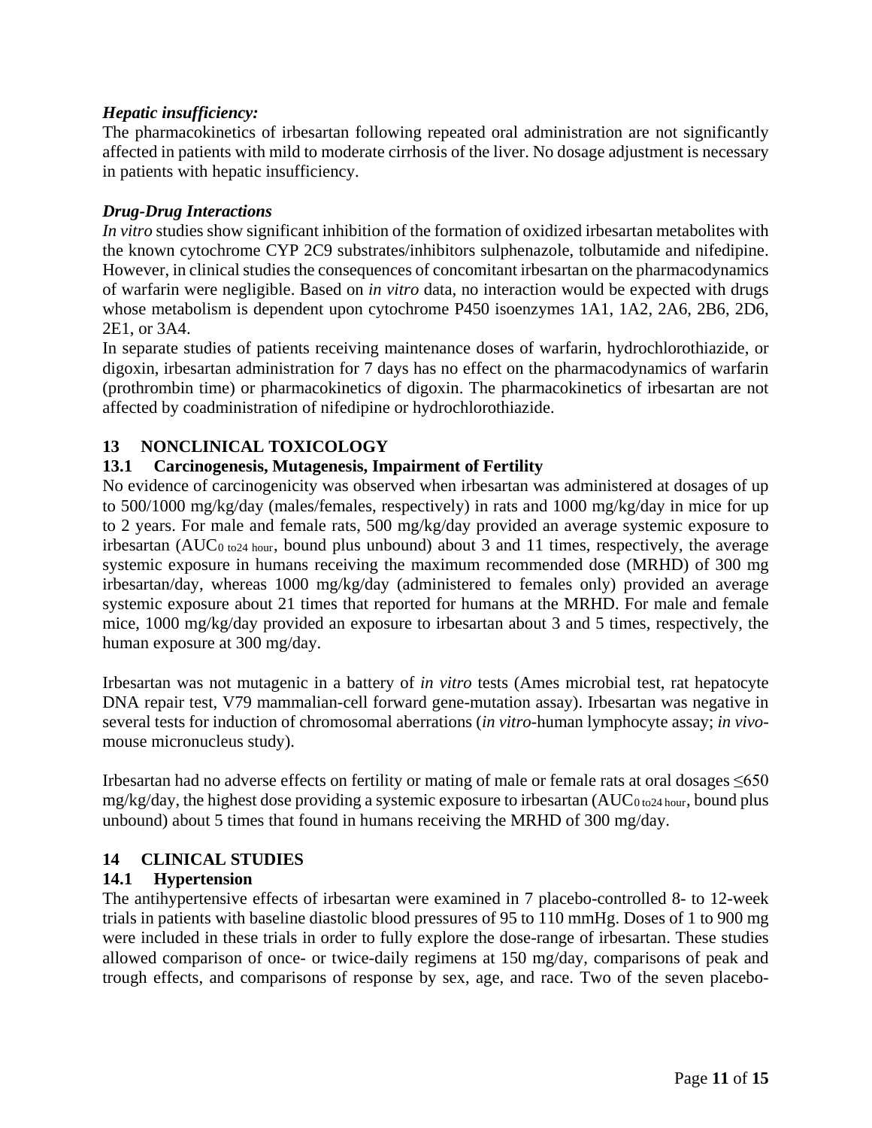#### *Hepatic insufficiency:*

The pharmacokinetics of irbesartan following repeated oral administration are not significantly affected in patients with mild to moderate cirrhosis of the liver. No dosage adjustment is necessary in patients with hepatic insufficiency.

#### *Drug-Drug Interactions*

*In vitro* studies show significant inhibition of the formation of oxidized irbesartan metabolites with the known cytochrome CYP 2C9 substrates/inhibitors sulphenazole, tolbutamide and nifedipine. However, in clinical studies the consequences of concomitant irbesartan on the pharmacodynamics of warfarin were negligible. Based on *in vitro* data, no interaction would be expected with drugs whose metabolism is dependent upon cytochrome P450 isoenzymes 1A1, 1A2, 2A6, 2B6, 2D6, 2E1, or 3A4.

In separate studies of patients receiving maintenance doses of warfarin, hydrochlorothiazide, or digoxin, irbesartan administration for 7 days has no effect on the pharmacodynamics of warfarin (prothrombin time) or pharmacokinetics of digoxin. The pharmacokinetics of irbesartan are not affected by coadministration of nifedipine or hydrochlorothiazide.

#### **13 NONCLINICAL TOXICOLOGY**

#### **13.1 Carcinogenesis, Mutagenesis, Impairment of Fertility**

No evidence of carcinogenicity was observed when irbesartan was administered at dosages of up to 500/1000 mg/kg/day (males/females, respectively) in rats and 1000 mg/kg/day in mice for up to 2 years. For male and female rats, 500 mg/kg/day provided an average systemic exposure to irbesartan (AUC<sub>0</sub> to<sub>24</sub> hour, bound plus unbound) about 3 and 11 times, respectively, the average systemic exposure in humans receiving the maximum recommended dose (MRHD) of 300 mg irbesartan/day, whereas 1000 mg/kg/day (administered to females only) provided an average systemic exposure about 21 times that reported for humans at the MRHD. For male and female mice, 1000 mg/kg/day provided an exposure to irbesartan about 3 and 5 times, respectively, the human exposure at 300 mg/day.

Irbesartan was not mutagenic in a battery of *in vitro* tests (Ames microbial test, rat hepatocyte DNA repair test, V79 mammalian-cell forward gene-mutation assay). Irbesartan was negative in several tests for induction of chromosomal aberrations (*in vitro-*human lymphocyte assay; *in vivo*mouse micronucleus study).

Irbesartan had no adverse effects on fertility or mating of male or female rats at oral dosages  $\leq 650$ mg/kg/day, the highest dose providing a systemic exposure to irbesartan  $(AUC<sub>0 to24 hour</sub>$ , bound plus unbound) about 5 times that found in humans receiving the MRHD of 300 mg/day.

#### **14 CLINICAL STUDIES**

#### **14.1 Hypertension**

The antihypertensive effects of irbesartan were examined in 7 placebo-controlled 8- to 12-week trials in patients with baseline diastolic blood pressures of 95 to 110 mmHg. Doses of 1 to 900 mg were included in these trials in order to fully explore the dose-range of irbesartan. These studies allowed comparison of once- or twice-daily regimens at 150 mg/day, comparisons of peak and trough effects, and comparisons of response by sex, age, and race. Two of the seven placebo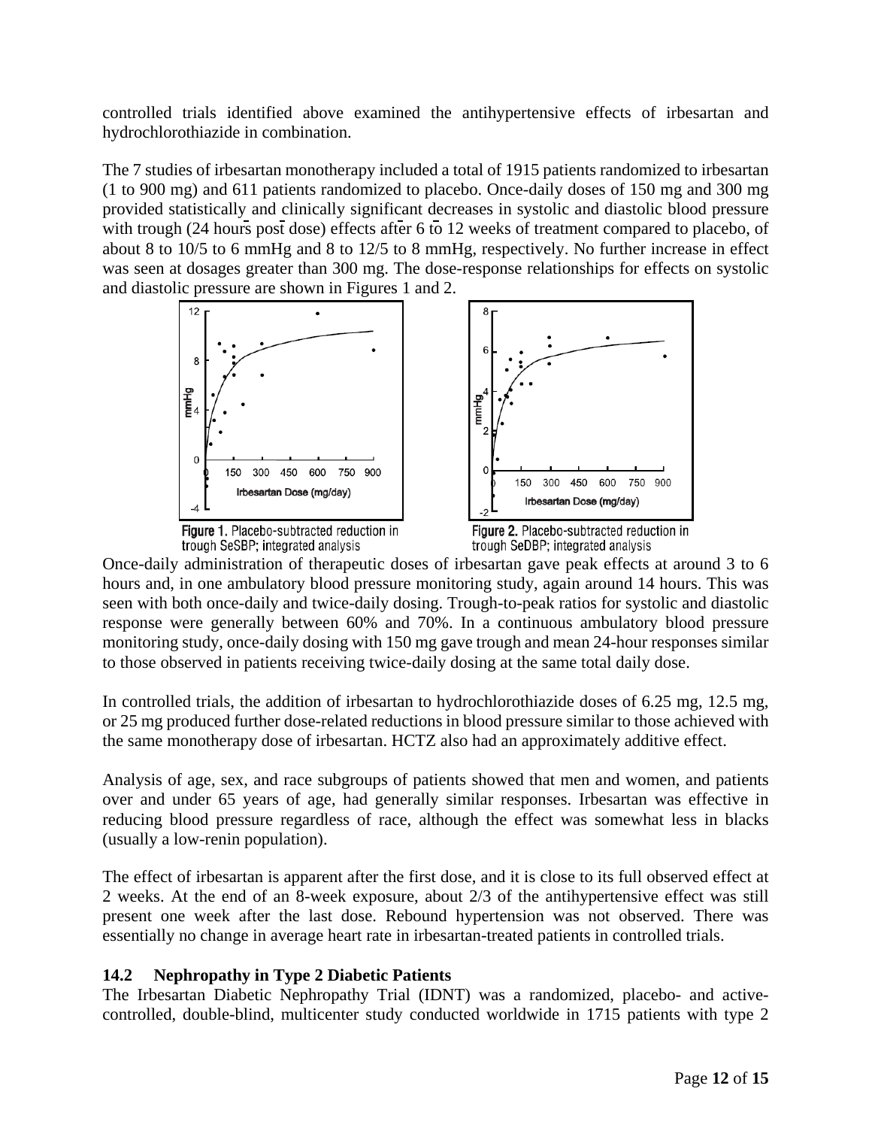controlled trials identified above examined the antihypertensive effects of irbesartan and hydrochlorothiazide in combination.

The 7 studies of irbesartan monotherapy included a total of 1915 patients randomized to irbesartan (1 to 900 mg) and 611 patients randomized to placebo. Once-daily doses of 150 mg and 300 mg provided statistically and clinically significant decreases in systolic and diastolic blood pressure with trough (24 hours post dose) effects after 6 to 12 weeks of treatment compared to placebo, of about 8 to 10/5 to 6 mmHg and 8 to 12/5 to 8 mmHg, respectively. No further increase in effect was seen at dosages greater than 300 mg. The dose-response relationships for effects on systolic and diastolic pressure are shown in Figures 1 and 2.



Once-daily administration of therapeutic doses of irbesartan gave peak effects at around 3 to 6 hours and, in one ambulatory blood pressure monitoring study, again around 14 hours. This was seen with both once-daily and twice-daily dosing. Trough-to-peak ratios for systolic and diastolic response were generally between 60% and 70%. In a continuous ambulatory blood pressure monitoring study, once-daily dosing with 150 mg gave trough and mean 24-hour responses similar to those observed in patients receiving twice-daily dosing at the same total daily dose.

In controlled trials, the addition of irbesartan to hydrochlorothiazide doses of 6.25 mg, 12.5 mg, or 25 mg produced further dose-related reductions in blood pressure similar to those achieved with the same monotherapy dose of irbesartan. HCTZ also had an approximately additive effect.

Analysis of age, sex, and race subgroups of patients showed that men and women, and patients over and under 65 years of age, had generally similar responses. Irbesartan was effective in reducing blood pressure regardless of race, although the effect was somewhat less in blacks (usually a low-renin population).

The effect of irbesartan is apparent after the first dose, and it is close to its full observed effect at 2 weeks. At the end of an 8-week exposure, about 2/3 of the antihypertensive effect was still present one week after the last dose. Rebound hypertension was not observed. There was essentially no change in average heart rate in irbesartan-treated patients in controlled trials.

#### **14.2 Nephropathy in Type 2 Diabetic Patients**

The Irbesartan Diabetic Nephropathy Trial (IDNT) was a randomized, placebo- and activecontrolled, double-blind, multicenter study conducted worldwide in 1715 patients with type 2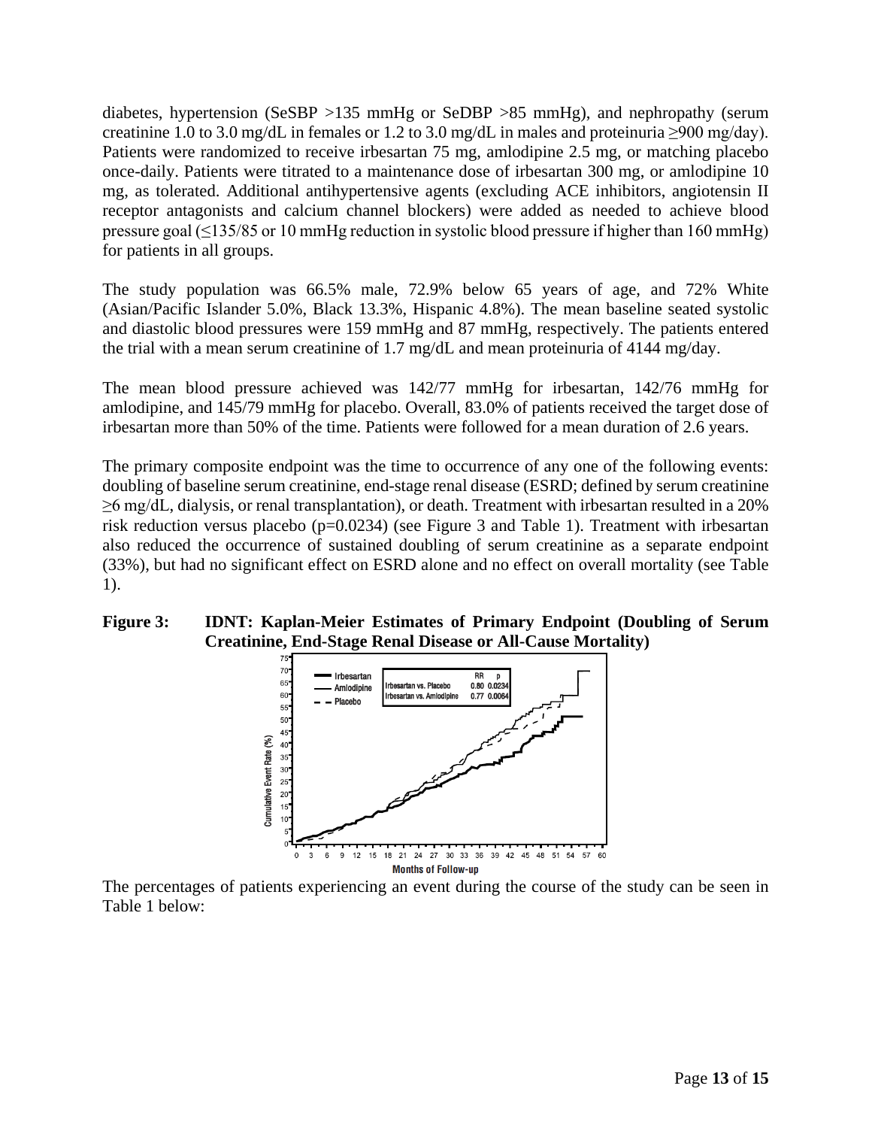diabetes, hypertension (SeSBP >135 mmHg or SeDBP >85 mmHg), and nephropathy (serum creatinine 1.0 to 3.0 mg/dL in females or 1.2 to 3.0 mg/dL in males and proteinuria  $\geq 900$  mg/day). Patients were randomized to receive irbesartan 75 mg, amlodipine 2.5 mg, or matching placebo once-daily. Patients were titrated to a maintenance dose of irbesartan 300 mg, or amlodipine 10 mg, as tolerated. Additional antihypertensive agents (excluding ACE inhibitors, angiotensin II receptor antagonists and calcium channel blockers) were added as needed to achieve blood pressure goal  $(\leq$ 135/85 or 10 mmHg reduction in systolic blood pressure if higher than 160 mmHg) for patients in all groups.

The study population was 66.5% male, 72.9% below 65 years of age, and 72% White (Asian/Pacific Islander 5.0%, Black 13.3%, Hispanic 4.8%). The mean baseline seated systolic and diastolic blood pressures were 159 mmHg and 87 mmHg, respectively. The patients entered the trial with a mean serum creatinine of 1.7 mg/dL and mean proteinuria of 4144 mg/day.

The mean blood pressure achieved was 142/77 mmHg for irbesartan, 142/76 mmHg for amlodipine, and 145/79 mmHg for placebo. Overall, 83.0% of patients received the target dose of irbesartan more than 50% of the time. Patients were followed for a mean duration of 2.6 years.

The primary composite endpoint was the time to occurrence of any one of the following events: doubling of baseline serum creatinine, end-stage renal disease (ESRD; defined by serum creatinine  $\geq$ 6 mg/dL, dialysis, or renal transplantation), or death. Treatment with irbesartan resulted in a 20% risk reduction versus placebo (p=0.0234) (see Figure 3 and Table 1). Treatment with irbesartan also reduced the occurrence of sustained doubling of serum creatinine as a separate endpoint (33%), but had no significant effect on ESRD alone and no effect on overall mortality (see Table 1).

#### **Figure 3: IDNT: Kaplan-Meier Estimates of Primary Endpoint (Doubling of Serum Creatinine, End-Stage Renal Disease or All-Cause Mortality)**



The percentages of patients experiencing an event during the course of the study can be seen in Table 1 below: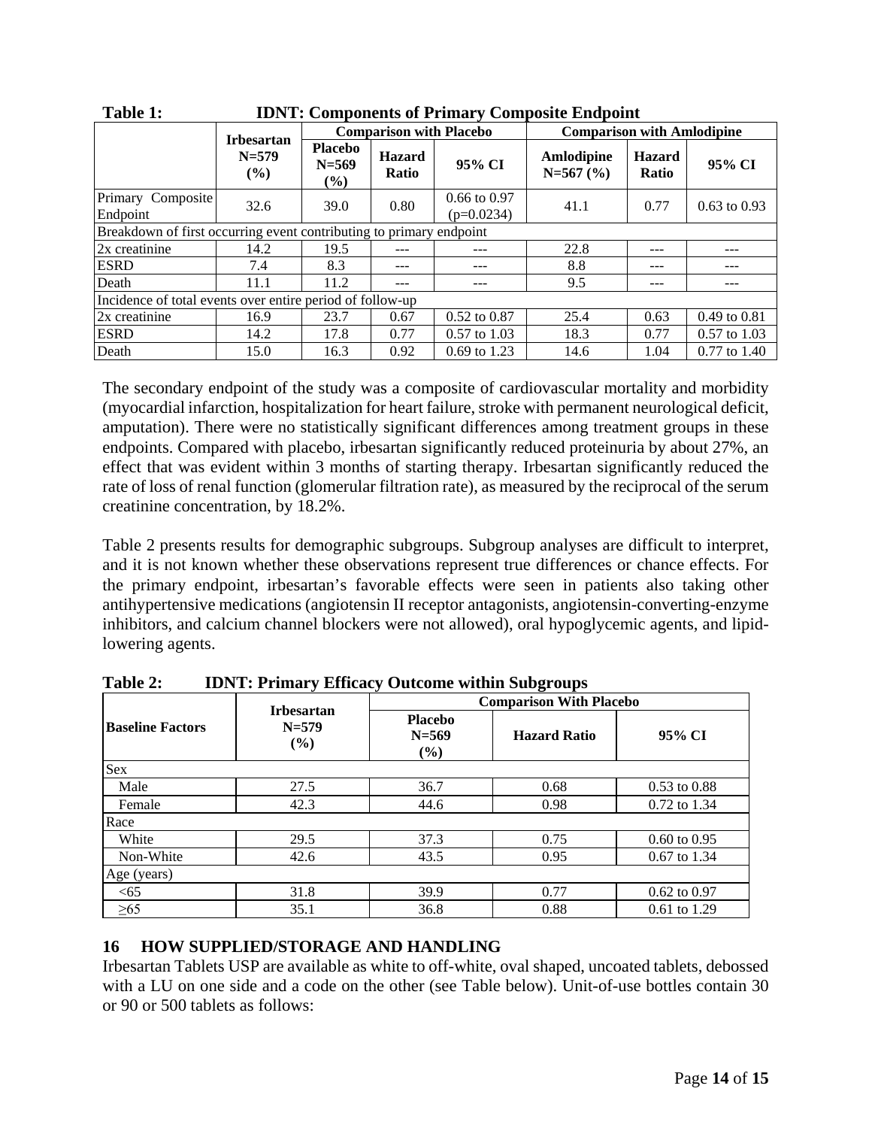| Table 1:                                                            | <b>IDNT: Components of Primary Composite Endpoint</b> |                                              |                               |                                   |                           |                               |                         |
|---------------------------------------------------------------------|-------------------------------------------------------|----------------------------------------------|-------------------------------|-----------------------------------|---------------------------|-------------------------------|-------------------------|
|                                                                     |                                                       | <b>Comparison with Placebo</b>               |                               | <b>Comparison with Amlodipine</b> |                           |                               |                         |
|                                                                     | <b>Irbesartan</b><br>$N = 579$<br>$($ %)              | <b>Placebo</b><br>$N = 569$<br>$\frac{6}{6}$ | <b>Hazard</b><br><b>Ratio</b> | 95% CI                            | Amlodipine<br>$N=567$ (%) | <b>Hazard</b><br><b>Ratio</b> | 95% CI                  |
| Primary Composite<br>Endpoint                                       | 32.6                                                  | 39.0                                         | 0.80                          | $0.66$ to $0.97$<br>$(p=0.0234)$  | 41.1                      | 0.77                          | $0.63$ to $0.93$        |
| Breakdown of first occurring event contributing to primary endpoint |                                                       |                                              |                               |                                   |                           |                               |                         |
| 2x creatinine                                                       | 14.2                                                  | 19.5                                         | ---                           | ---                               | 22.8                      | ---                           |                         |
| <b>ESRD</b>                                                         | 7.4                                                   | 8.3                                          | ---                           | ---                               | 8.8                       | ---                           | ---                     |
| Death                                                               | 11.1                                                  | 11.2                                         | ---                           | ---                               | 9.5                       | ---                           |                         |
| Incidence of total events over entire period of follow-up           |                                                       |                                              |                               |                                   |                           |                               |                         |
| 2x creatinine                                                       | 16.9                                                  | 23.7                                         | 0.67                          | $0.52$ to $0.87$                  | 25.4                      | 0.63                          | $0.49 \text{ to } 0.81$ |
| <b>ESRD</b>                                                         | 14.2                                                  | 17.8                                         | 0.77                          | 0.57 to 1.03                      | 18.3                      | 0.77                          | $0.57$ to 1.03          |
| Death                                                               | 15.0                                                  | 16.3                                         | 0.92                          | $0.69$ to 1.23                    | 14.6                      | 1.04                          | $0.77$ to $1.40$        |

**Table 1: IDNT: Components of Primary Composite Endpoint**

The secondary endpoint of the study was a composite of cardiovascular mortality and morbidity (myocardial infarction, hospitalization for heart failure, stroke with permanent neurological deficit, amputation). There were no statistically significant differences among treatment groups in these endpoints. Compared with placebo, irbesartan significantly reduced proteinuria by about 27%, an effect that was evident within 3 months of starting therapy. Irbesartan significantly reduced the rate of loss of renal function (glomerular filtration rate), as measured by the reciprocal of the serum creatinine concentration, by 18.2%.

Table 2 presents results for demographic subgroups. Subgroup analyses are difficult to interpret, and it is not known whether these observations represent true differences or chance effects. For the primary endpoint, irbesartan's favorable effects were seen in patients also taking other antihypertensive medications (angiotensin II receptor antagonists, angiotensin-converting-enzyme inhibitors, and calcium channel blockers were not allowed), oral hypoglycemic agents, and lipidlowering agents.

|                         | $\cdot$                               | <b>Comparison With Placebo</b>        |                     |                  |  |
|-------------------------|---------------------------------------|---------------------------------------|---------------------|------------------|--|
| <b>Baseline Factors</b> | <b>Irbesartan</b><br>$N = 579$<br>(%) | <b>Placebo</b><br>$N = 569$<br>$(\%)$ | <b>Hazard Ratio</b> | 95% CI           |  |
| Sex                     |                                       |                                       |                     |                  |  |
| Male                    | 27.5                                  | 36.7                                  | 0.68                | $0.53$ to $0.88$ |  |
| Female                  | 42.3                                  | 44.6                                  | 0.98                | 0.72 to 1.34     |  |
| Race                    |                                       |                                       |                     |                  |  |
| White                   | 29.5                                  | 37.3                                  | 0.75                | $0.60$ to $0.95$ |  |
| Non-White               | 42.6                                  | 43.5                                  | 0.95                | $0.67$ to 1.34   |  |
| Age (years)             |                                       |                                       |                     |                  |  |
| < 65                    | 31.8                                  | 39.9                                  | 0.77                | $0.62$ to $0.97$ |  |
| $\geq 65$               | 35.1                                  | 36.8                                  | 0.88                | 0.61 to 1.29     |  |

**Table 2: IDNT: Primary Efficacy Outcome within Subgroups**

# **16 HOW SUPPLIED/STORAGE AND HANDLING**

Irbesartan Tablets USP are available as white to off-white, oval shaped, uncoated tablets, debossed with a LU on one side and a code on the other (see Table below). Unit-of-use bottles contain 30 or 90 or 500 tablets as follows: